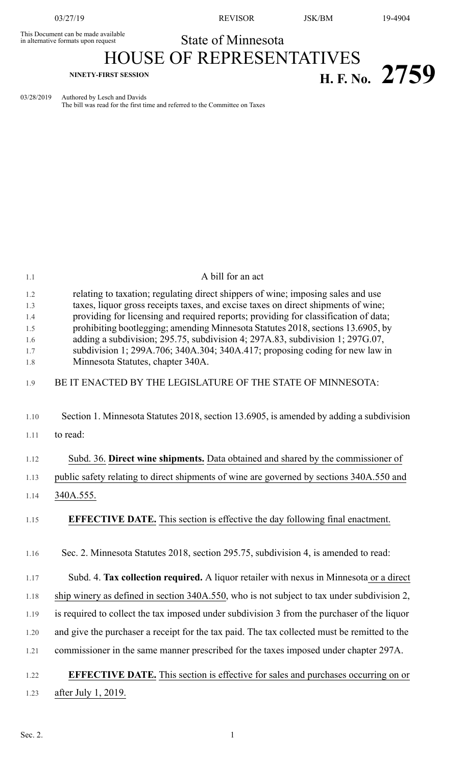This Document can be made available<br>in alternative formats upon request

03/27/19 REVISOR JSK/BM 19-4904

**NINETY-FIRST SESSION H. F. No. 2759**

State of Minnesota HOUSE OF REPRESENTATIVES

03/28/2019 Authored by Lesch and Davids The bill was read for the first time and referred to the Committee on Taxes

| 1.1        | A bill for an act                                                                                                                                                |
|------------|------------------------------------------------------------------------------------------------------------------------------------------------------------------|
| 1.2        | relating to taxation; regulating direct shippers of wine; imposing sales and use                                                                                 |
| 1.3        | taxes, liquor gross receipts taxes, and excise taxes on direct shipments of wine;                                                                                |
| 1.4        | providing for licensing and required reports; providing for classification of data;                                                                              |
| 1.5<br>1.6 | prohibiting bootlegging; amending Minnesota Statutes 2018, sections 13.6905, by<br>adding a subdivision; 295.75, subdivision 4; 297A.83, subdivision 1; 297G.07, |
| 1.7        | subdivision 1; 299A.706; 340A.304; 340A.417; proposing coding for new law in                                                                                     |
| 1.8        | Minnesota Statutes, chapter 340A.                                                                                                                                |
| 1.9        | BE IT ENACTED BY THE LEGISLATURE OF THE STATE OF MINNESOTA:                                                                                                      |
| 1.10       | Section 1. Minnesota Statutes 2018, section 13.6905, is amended by adding a subdivision                                                                          |
| 1.11       | to read:                                                                                                                                                         |
| 1.12       | Subd. 36. Direct wine shipments. Data obtained and shared by the commissioner of                                                                                 |
| 1.13       | public safety relating to direct shipments of wine are governed by sections 340A.550 and                                                                         |
| 1.14       | 340A.555.                                                                                                                                                        |
| 1.15       | <b>EFFECTIVE DATE.</b> This section is effective the day following final enactment.                                                                              |
| 1.16       | Sec. 2. Minnesota Statutes 2018, section 295.75, subdivision 4, is amended to read:                                                                              |
| 1.17       | Subd. 4. Tax collection required. A liquor retailer with nexus in Minnesota or a direct                                                                          |
| 1.18       | ship winery as defined in section 340A.550, who is not subject to tax under subdivision 2,                                                                       |
| 1.19       | is required to collect the tax imposed under subdivision 3 from the purchaser of the liquor                                                                      |
| 1.20       | and give the purchaser a receipt for the tax paid. The tax collected must be remitted to the                                                                     |
| 1.21       | commissioner in the same manner prescribed for the taxes imposed under chapter 297A.                                                                             |
| 1.22       | <b>EFFECTIVE DATE.</b> This section is effective for sales and purchases occurring on or                                                                         |
| 1.23       | after July 1, 2019.                                                                                                                                              |
|            |                                                                                                                                                                  |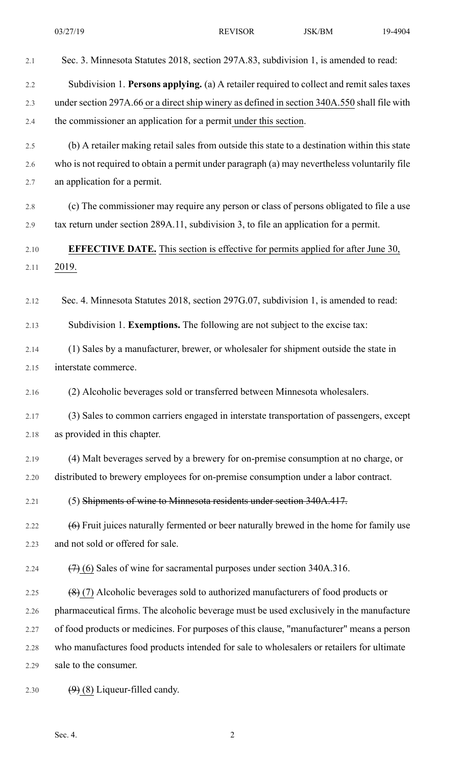| 2.1  | Sec. 3. Minnesota Statutes 2018, section 297A.83, subdivision 1, is amended to read:          |
|------|-----------------------------------------------------------------------------------------------|
| 2.2  | Subdivision 1. Persons applying. (a) A retailer required to collect and remit sales taxes     |
| 2.3  | under section 297A.66 or a direct ship winery as defined in section 340A.550 shall file with  |
| 2.4  | the commissioner an application for a permit under this section.                              |
| 2.5  | (b) A retailer making retail sales from outside this state to a destination within this state |
| 2.6  | who is not required to obtain a permit under paragraph (a) may nevertheless voluntarily file  |
| 2.7  | an application for a permit.                                                                  |
| 2.8  | (c) The commissioner may require any person or class of persons obligated to file a use       |
| 2.9  | tax return under section 289A.11, subdivision 3, to file an application for a permit.         |
| 2.10 | <b>EFFECTIVE DATE.</b> This section is effective for permits applied for after June 30,       |
| 2.11 | 2019.                                                                                         |
|      |                                                                                               |
| 2.12 | Sec. 4. Minnesota Statutes 2018, section 297G.07, subdivision 1, is amended to read:          |
| 2.13 | Subdivision 1. Exemptions. The following are not subject to the excise tax:                   |
| 2.14 | (1) Sales by a manufacturer, brewer, or wholesaler for shipment outside the state in          |
| 2.15 | interstate commerce.                                                                          |
| 2.16 | (2) Alcoholic beverages sold or transferred between Minnesota wholesalers.                    |
| 2.17 | (3) Sales to common carriers engaged in interstate transportation of passengers, except       |
| 2.18 | as provided in this chapter.                                                                  |
| 2.19 | (4) Malt beverages served by a brewery for on-premise consumption at no charge, or            |
| 2.20 | distributed to brewery employees for on-premise consumption under a labor contract.           |
| 2.21 | (5) Shipments of wine to Minnesota residents under section 340A.417.                          |
| 2.22 | $(6)$ Fruit juices naturally fermented or beer naturally brewed in the home for family use    |
| 2.23 | and not sold or offered for sale.                                                             |
| 2.24 | $(7)$ (6) Sales of wine for sacramental purposes under section 340A.316.                      |
| 2.25 | $(8)$ (7) Alcoholic beverages sold to authorized manufacturers of food products or            |
| 2.26 | pharmaceutical firms. The alcoholic beverage must be used exclusively in the manufacture      |
| 2.27 | of food products or medicines. For purposes of this clause, "manufacturer" means a person     |
| 2.28 | who manufactures food products intended for sale to wholesalers or retailers for ultimate     |
| 2.29 | sale to the consumer.                                                                         |
| 2.30 | $(9)$ (8) Liqueur-filled candy.                                                               |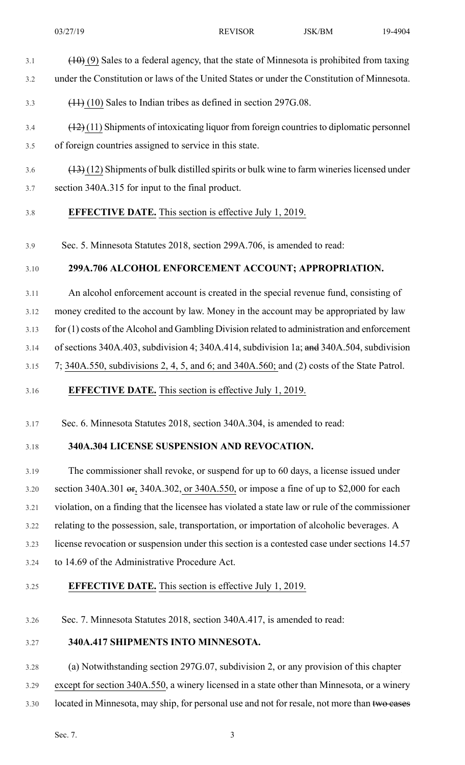- $3.1$  (10) (9) Sales to a federal agency, that the state of Minnesota is prohibited from taxing
- 3.2 under the Constitution or laws of the United States or under the Constitution of Minnesota.
- 3.3 (11) (10) Sales to Indian tribes as defined in section 297G.08.
- 3.4 (12) (11) Shipments of intoxicating liquor from foreign countriesto diplomatic personnel
- 3.5 of foreign countries assigned to service in this state.
- $3.6$  (13) (12) Shipments of bulk distilled spirits or bulk wine to farm wineries licensed under 3.7 section 340A.315 for input to the final product.

# 3.8 **EFFECTIVE DATE.** This section is effective July 1, 2019.

3.9 Sec. 5. Minnesota Statutes 2018, section 299A.706, is amended to read:

#### 3.10 **299A.706 ALCOHOL ENFORCEMENT ACCOUNT; APPROPRIATION.**

3.11 An alcohol enforcement account is created in the special revenue fund, consisting of

3.12 money credited to the account by law. Money in the account may be appropriated by law

3.13 for (1) costs of the Alcohol and Gambling Division related to administration and enforcement

3.14 of sections 340A.403, subdivision 4; 340A.414, subdivision 1a; and 340A.504, subdivision

3.15 7; 340A.550, subdivisions 2, 4, 5, and 6; and 340A.560; and (2) costs of the State Patrol.

# 3.16 **EFFECTIVE DATE.** This section is effective July 1, 2019.

3.17 Sec. 6. Minnesota Statutes 2018, section 340A.304, is amended to read:

# 3.18 **340A.304 LICENSE SUSPENSION AND REVOCATION.**

3.19 The commissioner shall revoke, or suspend for up to 60 days, a license issued under 3.20 section 340A.301 or, 340A.302, or 340A.550, or impose a fine of up to \$2,000 for each 3.21 violation, on a finding that the licensee has violated a state law or rule of the commissioner 3.22 relating to the possession, sale, transportation, or importation of alcoholic beverages. A 3.23 license revocation or suspension under this section is a contested case under sections 14.57 3.24 to 14.69 of the Administrative Procedure Act.

# 3.25 **EFFECTIVE DATE.** This section is effective July 1, 2019.

3.26 Sec. 7. Minnesota Statutes 2018, section 340A.417, is amended to read:

#### 3.27 **340A.417 SHIPMENTS INTO MINNESOTA.**

3.28 (a) Notwithstanding section 297G.07, subdivision 2, or any provision of this chapter

3.29 except for section 340A.550, a winery licensed in a state other than Minnesota, or a winery

3.30 located in Minnesota, may ship, for personal use and not for resale, not more than two cases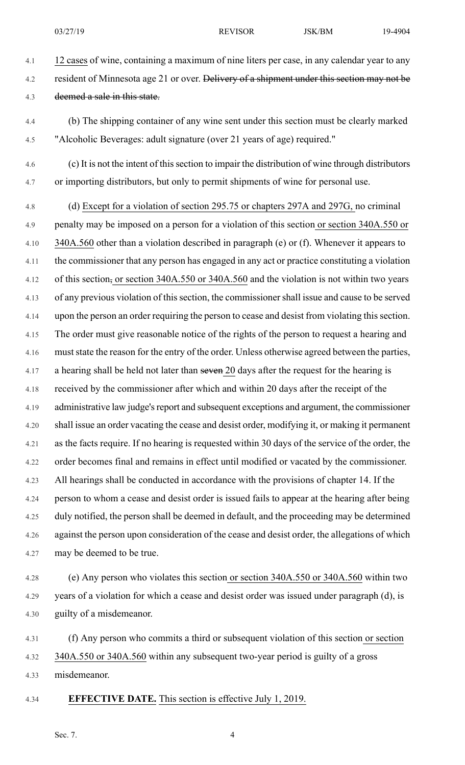- 4.1 12 cases of wine, containing a maximum of nine liters per case, in any calendar year to any 4.2 resident of Minnesota age 21 or over. <del>Delivery of a shipment under this section may not be</del> 4.3 deemed a sale in this state.
- 4.4 (b) The shipping container of any wine sent under this section must be clearly marked 4.5 "Alcoholic Beverages: adult signature (over 21 years of age) required."
- 4.6 (c) It is not the intent of thissection to impair the distribution of wine through distributors 4.7 or importing distributors, but only to permit shipments of wine for personal use.
- 4.8 (d) Except for a violation of section 295.75 or chapters 297A and 297G, no criminal 4.9 penalty may be imposed on a person for a violation of this section or section 340A.550 or 4.10 340A.560 other than a violation described in paragraph (e) or (f). Whenever it appears to 4.11 the commissioner that any person has engaged in any act or practice constituting a violation 4.12 of this section, or section 340A.550 or 340A.560 and the violation is not within two years 4.13 of any previous violation of thissection, the commissionershall issue and cause to be served 4.14 upon the person an order requiring the person to cease and desist from violating thissection. 4.15 The order must give reasonable notice of the rights of the person to request a hearing and 4.16 must state the reason for the entry of the order. Unless otherwise agreed between the parties, 4.17 a hearing shall be held not later than seven 20 days after the request for the hearing is 4.18 received by the commissioner after which and within 20 days after the receipt of the 4.19 administrative law judge's report and subsequent exceptions and argument, the commissioner 4.20 shall issue an order vacating the cease and desist order, modifying it, or making it permanent 4.21 as the facts require. If no hearing is requested within 30 days of the service of the order, the 4.22 order becomes final and remains in effect until modified or vacated by the commissioner. 4.23 All hearings shall be conducted in accordance with the provisions of chapter 14. If the 4.24 person to whom a cease and desist order is issued fails to appear at the hearing after being 4.25 duly notified, the person shall be deemed in default, and the proceeding may be determined 4.26 against the person upon consideration of the cease and desist order, the allegations of which 4.27 may be deemed to be true.
- 4.28 (e) Any person who violates this section or section 340A.550 or 340A.560 within two 4.29 years of a violation for which a cease and desist order was issued under paragraph (d), is 4.30 guilty of a misdemeanor.

4.31 (f) Any person who commits a third or subsequent violation of this section or section 4.32 340A.550 or 340A.560 within any subsequent two-year period is guilty of a gross 4.33 misdemeanor.

4.34 **EFFECTIVE DATE.** This section is effective July 1, 2019.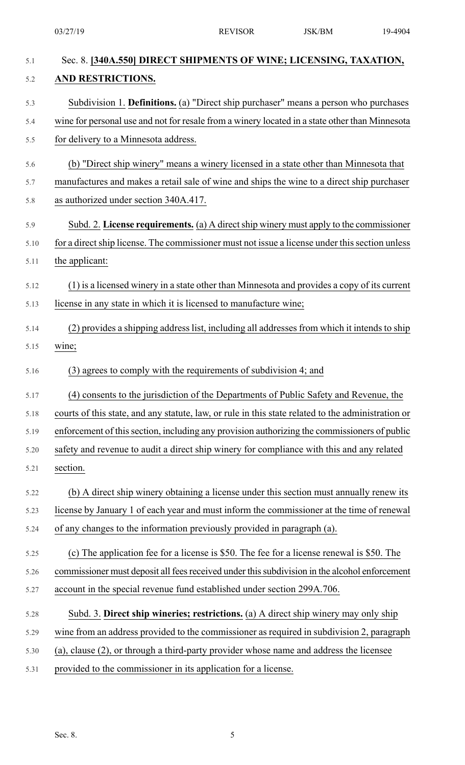| 5.1  | Sec. 8. [340A.550] DIRECT SHIPMENTS OF WINE; LICENSING, TAXATION,                                  |
|------|----------------------------------------------------------------------------------------------------|
| 5.2  | AND RESTRICTIONS.                                                                                  |
| 5.3  | Subdivision 1. Definitions. (a) "Direct ship purchaser" means a person who purchases               |
| 5.4  | wine for personal use and not for resale from a winery located in a state other than Minnesota     |
| 5.5  | for delivery to a Minnesota address.                                                               |
| 5.6  | (b) "Direct ship winery" means a winery licensed in a state other than Minnesota that              |
| 5.7  | manufactures and makes a retail sale of wine and ships the wine to a direct ship purchaser         |
| 5.8  | as authorized under section 340A.417.                                                              |
| 5.9  | Subd. 2. License requirements. (a) A direct ship winery must apply to the commissioner             |
| 5.10 | for a direct ship license. The commissioner must not issue a license under this section unless     |
| 5.11 | the applicant:                                                                                     |
| 5.12 | (1) is a licensed winery in a state other than Minnesota and provides a copy of its current        |
| 5.13 | license in any state in which it is licensed to manufacture wine;                                  |
| 5.14 | (2) provides a shipping address list, including all addresses from which it intends to ship        |
| 5.15 | wine;                                                                                              |
| 5.16 | (3) agrees to comply with the requirements of subdivision 4; and                                   |
| 5.17 | (4) consents to the jurisdiction of the Departments of Public Safety and Revenue, the              |
| 5.18 | courts of this state, and any statute, law, or rule in this state related to the administration or |
| 5.19 | enforcement of this section, including any provision authorizing the commissioners of public       |
| 5.20 | safety and revenue to audit a direct ship winery for compliance with this and any related          |
| 5.21 | section.                                                                                           |
| 5.22 | (b) A direct ship winery obtaining a license under this section must annually renew its            |
| 5.23 | license by January 1 of each year and must inform the commissioner at the time of renewal          |
| 5.24 | of any changes to the information previously provided in paragraph (a).                            |
| 5.25 | (c) The application fee for a license is \$50. The fee for a license renewal is \$50. The          |
| 5.26 | commissioner must deposit all fees received under this subdivision in the alcohol enforcement      |
| 5.27 | account in the special revenue fund established under section 299A.706.                            |
| 5.28 | Subd. 3. Direct ship wineries; restrictions. (a) A direct ship winery may only ship                |
| 5.29 | wine from an address provided to the commissioner as required in subdivision 2, paragraph          |
| 5.30 | (a), clause (2), or through a third-party provider whose name and address the licensee             |
| 5.31 | provided to the commissioner in its application for a license.                                     |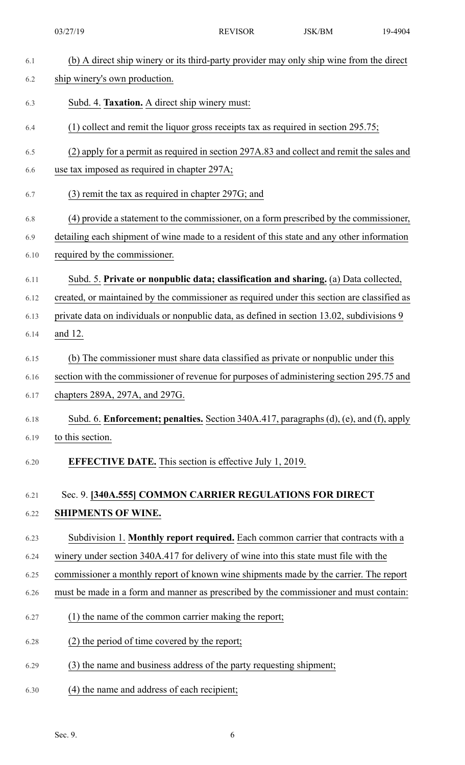03/27/19 REVISOR JSK/BM 19-4904

| 6.1  | (b) A direct ship winery or its third-party provider may only ship wine from the direct     |
|------|---------------------------------------------------------------------------------------------|
| 6.2  | ship winery's own production.                                                               |
| 6.3  | Subd. 4. Taxation. A direct ship winery must:                                               |
| 6.4  | $(1)$ collect and remit the liquor gross receipts tax as required in section 295.75;        |
| 6.5  | (2) apply for a permit as required in section 297A.83 and collect and remit the sales and   |
| 6.6  | use tax imposed as required in chapter 297A;                                                |
| 6.7  | $(3)$ remit the tax as required in chapter 297G; and                                        |
| 6.8  | (4) provide a statement to the commissioner, on a form prescribed by the commissioner,      |
| 6.9  | detailing each shipment of wine made to a resident of this state and any other information  |
| 6.10 | required by the commissioner.                                                               |
| 6.11 | Subd. 5. Private or nonpublic data; classification and sharing. (a) Data collected,         |
| 6.12 | created, or maintained by the commissioner as required under this section are classified as |
| 6.13 | private data on individuals or nonpublic data, as defined in section 13.02, subdivisions 9  |
| 6.14 | and 12.                                                                                     |
| 6.15 | (b) The commissioner must share data classified as private or nonpublic under this          |
| 6.16 | section with the commissioner of revenue for purposes of administering section 295.75 and   |
| 6.17 | chapters 289A, 297A, and 297G.                                                              |
| 6.18 | Subd. 6. Enforcement; penalties. Section 340A.417, paragraphs (d), (e), and (f), apply      |
| 6.19 | to this section.                                                                            |
| 6.20 | <b>EFFECTIVE DATE.</b> This section is effective July 1, 2019.                              |
| 6.21 | Sec. 9. [340A.555] COMMON CARRIER REGULATIONS FOR DIRECT                                    |
| 6.22 | <b>SHIPMENTS OF WINE.</b>                                                                   |
| 6.23 | Subdivision 1. Monthly report required. Each common carrier that contracts with a           |
| 6.24 | winery under section 340A.417 for delivery of wine into this state must file with the       |
| 6.25 | commissioner a monthly report of known wine shipments made by the carrier. The report       |
| 6.26 | must be made in a form and manner as prescribed by the commissioner and must contain:       |
| 6.27 | (1) the name of the common carrier making the report;                                       |
| 6.28 | (2) the period of time covered by the report;                                               |
| 6.29 | (3) the name and business address of the party requesting shipment;                         |
| 6.30 | (4) the name and address of each recipient;                                                 |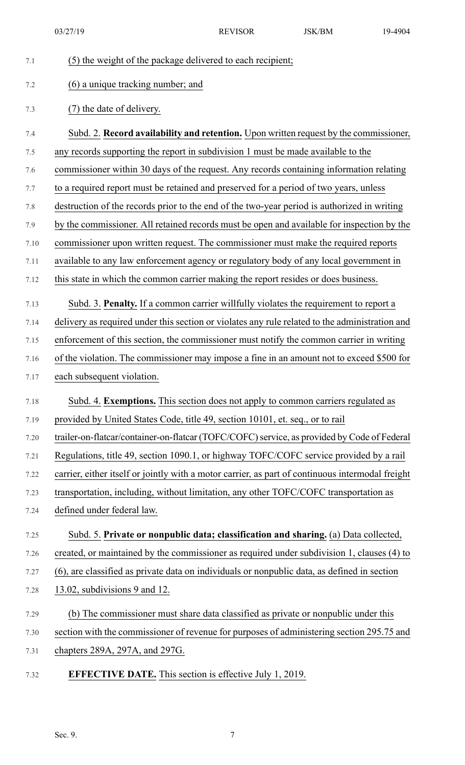03/27/19 REVISOR JSK/BM 19-4904

| 7.1  | (5) the weight of the package delivered to each recipient;                                       |
|------|--------------------------------------------------------------------------------------------------|
| 7.2  | (6) a unique tracking number; and                                                                |
| 7.3  | (7) the date of delivery.                                                                        |
| 7.4  | Subd. 2. Record availability and retention. Upon written request by the commissioner,            |
| 7.5  | any records supporting the report in subdivision 1 must be made available to the                 |
| 7.6  | commissioner within 30 days of the request. Any records containing information relating          |
| 7.7  | to a required report must be retained and preserved for a period of two years, unless            |
| 7.8  | destruction of the records prior to the end of the two-year period is authorized in writing      |
| 7.9  | by the commissioner. All retained records must be open and available for inspection by the       |
| 7.10 | commissioner upon written request. The commissioner must make the required reports               |
| 7.11 | available to any law enforcement agency or regulatory body of any local government in            |
| 7.12 | this state in which the common carrier making the report resides or does business.               |
| 7.13 | Subd. 3. Penalty. If a common carrier willfully violates the requirement to report a             |
| 7.14 | delivery as required under this section or violates any rule related to the administration and   |
| 7.15 | enforcement of this section, the commissioner must notify the common carrier in writing          |
| 7.16 | of the violation. The commissioner may impose a fine in an amount not to exceed \$500 for        |
| 7.17 | each subsequent violation.                                                                       |
| 7.18 | Subd. 4. Exemptions. This section does not apply to common carriers regulated as                 |
| 7.19 | provided by United States Code, title 49, section 10101, et. seq., or to rail                    |
| 7.20 | trailer-on-flatcar/container-on-flatcar (TOFC/COFC) service, as provided by Code of Federal      |
| 7.21 | Regulations, title 49, section 1090.1, or highway TOFC/COFC service provided by a rail           |
| 7.22 | carrier, either itself or jointly with a motor carrier, as part of continuous intermodal freight |
| 7.23 | transportation, including, without limitation, any other TOFC/COFC transportation as             |
| 7.24 | defined under federal law.                                                                       |
| 7.25 | Subd. 5. Private or nonpublic data; classification and sharing. (a) Data collected,              |
| 7.26 | created, or maintained by the commissioner as required under subdivision 1, clauses (4) to       |
| 7.27 | (6), are classified as private data on individuals or nonpublic data, as defined in section      |
| 7.28 | 13.02, subdivisions 9 and 12.                                                                    |
| 7.29 | (b) The commissioner must share data classified as private or nonpublic under this               |
| 7.30 | section with the commissioner of revenue for purposes of administering section 295.75 and        |
| 7.31 | chapters 289A, 297A, and 297G.                                                                   |
| 7.32 | <b>EFFECTIVE DATE.</b> This section is effective July 1, 2019.                                   |